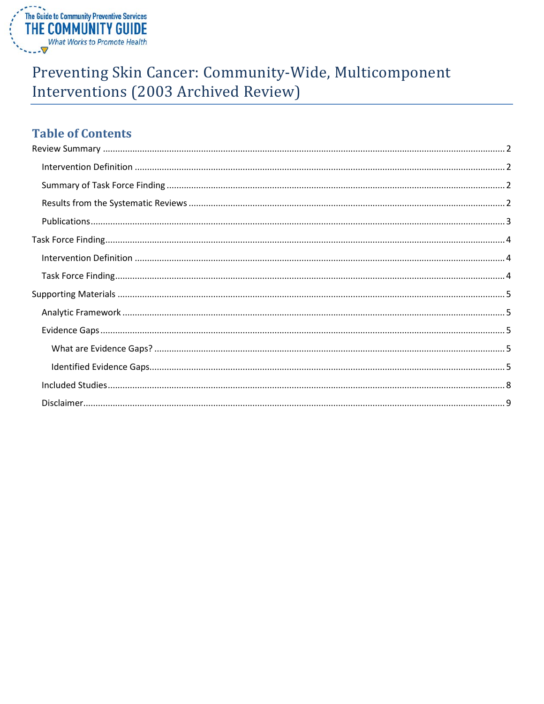

# Preventing Skin Cancer: Community-Wide, Multicomponent Interventions (2003 Archived Review)

# **Table of Contents**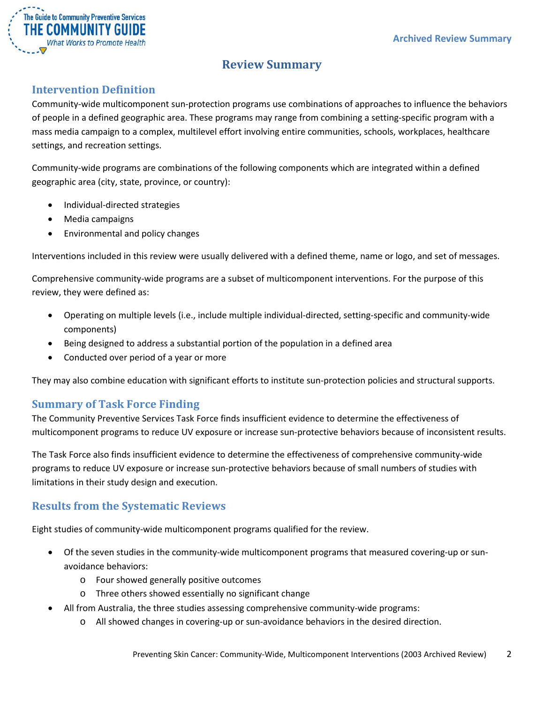

# **Review Summary**

## <span id="page-1-1"></span><span id="page-1-0"></span>**Intervention Definition**

Community-wide multicomponent sun-protection programs use combinations of approaches to influence the behaviors of people in a defined geographic area. These programs may range from combining a setting-specific program with a mass media campaign to a complex, multilevel effort involving entire communities, schools, workplaces, healthcare settings, and recreation settings.

Community-wide programs are combinations of the following components which are integrated within a defined geographic area (city, state, province, or country):

- Individual-directed strategies
- Media campaigns
- Environmental and policy changes

Interventions included in this review were usually delivered with a defined theme, name or logo, and set of messages.

Comprehensive community-wide programs are a subset of multicomponent interventions. For the purpose of this review, they were defined as:

- Operating on multiple levels (i.e., include multiple individual-directed, setting-specific and community-wide components)
- Being designed to address a substantial portion of the population in a defined area
- Conducted over period of a year or more

They may also combine education with significant efforts to institute sun-protection policies and structural supports.

## <span id="page-1-2"></span>**Summary of Task Force Finding**

The Community Preventive Services Task Force finds insufficient evidence to determine the effectiveness of multicomponent programs to reduce UV exposure or increase sun-protective behaviors because of inconsistent results.

The Task Force also finds insufficient evidence to determine the effectiveness of comprehensive community-wide programs to reduce UV exposure or increase sun-protective behaviors because of small numbers of studies with limitations in their study design and execution.

# <span id="page-1-3"></span>**Results from the Systematic Reviews**

Eight studies of community-wide multicomponent programs qualified for the review.

- Of the seven studies in the community-wide multicomponent programs that measured covering-up or sunavoidance behaviors:
	- o Four showed generally positive outcomes
	- o Three others showed essentially no significant change
- All from Australia, the three studies assessing comprehensive community-wide programs:
	- o All showed changes in covering-up or sun-avoidance behaviors in the desired direction.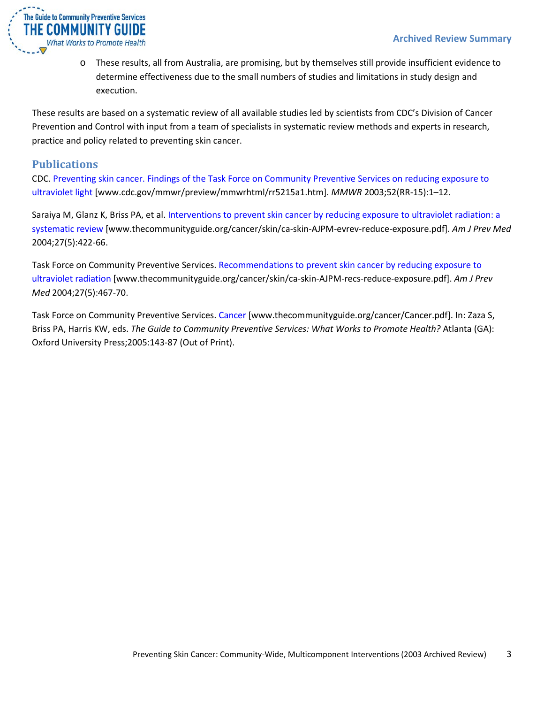

o These results, all from Australia, are promising, but by themselves still provide insufficient evidence to determine effectiveness due to the small numbers of studies and limitations in study design and execution.

These results are based on a systematic review of all available studies led by scientists from CDC's Division of Cancer Prevention and Control with input from a team of specialists in systematic review methods and experts in research, practice and policy related to preventing skin cancer.

### <span id="page-2-0"></span>**Publications**

CDC. [Preventing skin cancer. Findings of the Task Force on Community Preventive Services on reducing exposure to](http://www.cdc.gov/mmwr/preview/mmwrhtml/rr5215a1.htm)  [ultraviolet light](http://www.cdc.gov/mmwr/preview/mmwrhtml/rr5215a1.htm) [www.cdc.gov/mmwr/preview/mmwrhtml/rr5215a1.htm]. *MMWR* 2003;52(RR-15):1–12.

Saraiya M, Glanz K, Briss PA, et al. [Interventions to prevent skin cancer by reducing exposure to ultraviolet radiation: a](http://www.thecommunityguide.org/cancer/skin/ca-skin-AJPM-evrev-reduce-exposure.pdf)  [systematic review](http://www.thecommunityguide.org/cancer/skin/ca-skin-AJPM-evrev-reduce-exposure.pdf) [www.thecommunityguide.org/cancer/skin/ca-skin-AJPM-evrev-reduce-exposure.pdf]. *Am J Prev Med* 2004;27(5):422-66.

Task Force on Community Preventive Services. [Recommendations to prevent skin cancer by reducing exposure to](http://www.thecommunityguide.org/cancer/skin/ca-skin-AJPM-recs-reduce-exposure.pdf)  [ultraviolet radiation](http://www.thecommunityguide.org/cancer/skin/ca-skin-AJPM-recs-reduce-exposure.pdf) [www.thecommunityguide.org/cancer/skin/ca-skin-AJPM-recs-reduce-exposure.pdf]. *Am J Prev Med* 2004;27(5):467-70.

Task Force on Community Preventive Services. [Cancer](http://www.thecommunityguide.org/cancer/Cancer.pdf) [www.thecommunityguide.org/cancer/Cancer.pdf]. In: Zaza S, Briss PA, Harris KW, eds. *The Guide to Community Preventive Services: What Works to Promote Health?* Atlanta (GA): Oxford University Press;2005:143-87 (Out of Print).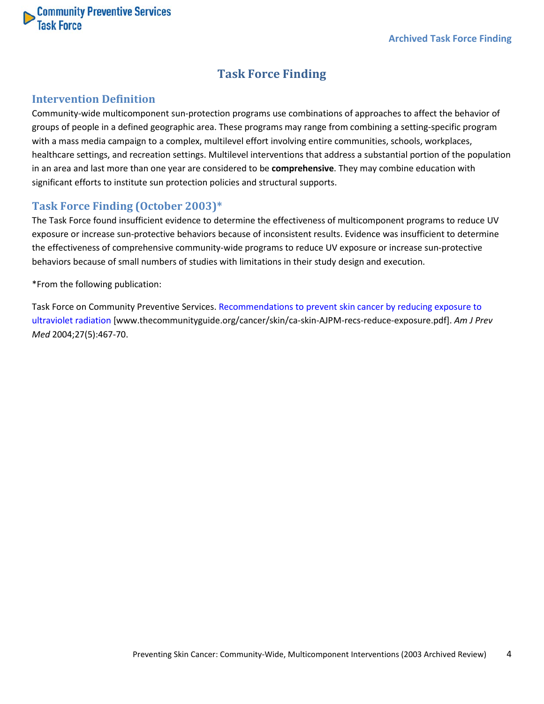<span id="page-3-0"></span>

# **Task Force Finding**

#### <span id="page-3-1"></span>**Intervention Definition**

Community-wide multicomponent sun-protection programs use combinations of approaches to affect the behavior of groups of people in a defined geographic area. These programs may range from combining a setting-specific program with a mass media campaign to a complex, multilevel effort involving entire communities, schools, workplaces, healthcare settings, and recreation settings. Multilevel interventions that address a substantial portion of the population in an area and last more than one year are considered to be **comprehensive**. They may combine education with significant efforts to institute sun protection policies and structural supports.

### <span id="page-3-2"></span>**Task Force Finding (October 2003)\***

The Task Force found insufficient evidence to determine the effectiveness of multicomponent programs to reduce UV exposure or increase sun-protective behaviors because of inconsistent results. Evidence was insufficient to determine the effectiveness of comprehensive community-wide programs to reduce UV exposure or increase sun-protective behaviors because of small numbers of studies with limitations in their study design and execution.

\*From the following publication:

Task Force on Community Preventive Services. [Recommendations to prevent skin cancer by reducing exposure to](http://www.thecommunityguide.org/cancer/skin/ca-skin-AJPM-recs-reduce-exposure.pdf)  [ultraviolet radiation](http://www.thecommunityguide.org/cancer/skin/ca-skin-AJPM-recs-reduce-exposure.pdf) [www.thecommunityguide.org/cancer/skin/ca-skin-AJPM-recs-reduce-exposure.pdf]. *Am J Prev Med* 2004;27(5):467-70.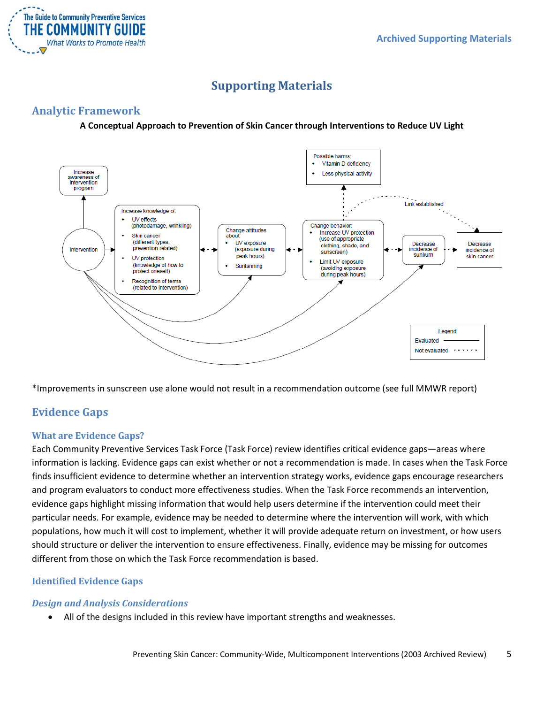

# **Supporting Materials**

### <span id="page-4-1"></span><span id="page-4-0"></span>**Analytic Framework**

#### **A Conceptual Approach to Prevention of Skin Cancer through Interventions to Reduce UV Light**



\*Improvements in sunscreen use alone would not result in a recommendation outcome (see full MMWR report)

# <span id="page-4-2"></span>**Evidence Gaps**

#### <span id="page-4-3"></span>**What are Evidence Gaps?**

Each Community Preventive Services Task Force (Task Force) review identifies critical evidence gaps—areas where information is lacking. Evidence gaps can exist whether or not a recommendation is made. In cases when the Task Force finds insufficient evidence to determine whether an intervention strategy works, evidence gaps encourage researchers and program evaluators to conduct more effectiveness studies. When the Task Force recommends an intervention, evidence gaps highlight missing information that would help users determine if the intervention could meet their particular needs. For example, evidence may be needed to determine where the intervention will work, with which populations, how much it will cost to implement, whether it will provide adequate return on investment, or how users should structure or deliver the intervention to ensure effectiveness. Finally, evidence may be missing for outcomes different from those on which the Task Force recommendation is based.

#### <span id="page-4-4"></span>**Identified Evidence Gaps**

#### *Design and Analysis Considerations*

• All of the designs included in this review have important strengths and weaknesses.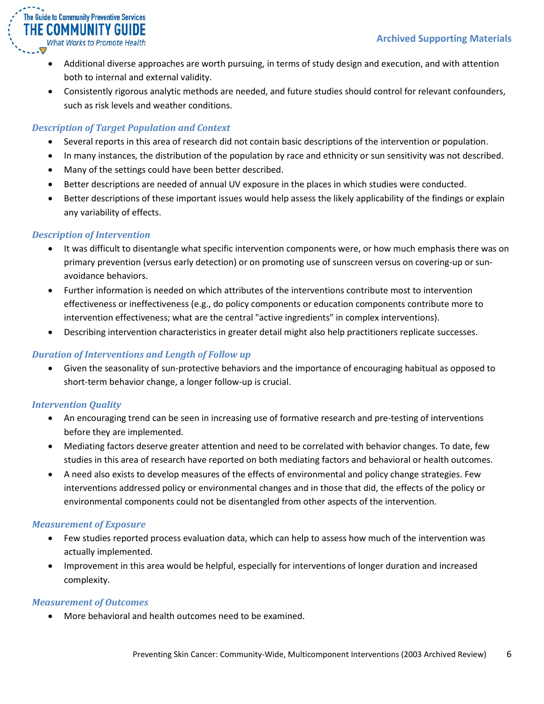

- Additional diverse approaches are worth pursuing, in terms of study design and execution, and with attention both to internal and external validity.
- Consistently rigorous analytic methods are needed, and future studies should control for relevant confounders, such as risk levels and weather conditions.

### *Description of Target Population and Context*

- Several reports in this area of research did not contain basic descriptions of the intervention or population.
- In many instances, the distribution of the population by race and ethnicity or sun sensitivity was not described.
- Many of the settings could have been better described.
- Better descriptions are needed of annual UV exposure in the places in which studies were conducted.
- Better descriptions of these important issues would help assess the likely applicability of the findings or explain any variability of effects.

#### *Description of Intervention*

- It was difficult to disentangle what specific intervention components were, or how much emphasis there was on primary prevention (versus early detection) or on promoting use of sunscreen versus on covering-up or sunavoidance behaviors.
- Further information is needed on which attributes of the interventions contribute most to intervention effectiveness or ineffectiveness (e.g., do policy components or education components contribute more to intervention effectiveness; what are the central "active ingredients" in complex interventions).
- Describing intervention characteristics in greater detail might also help practitioners replicate successes.

#### *Duration of Interventions and Length of Follow up*

• Given the seasonality of sun-protective behaviors and the importance of encouraging habitual as opposed to short-term behavior change, a longer follow-up is crucial.

#### *Intervention Quality*

- An encouraging trend can be seen in increasing use of formative research and pre-testing of interventions before they are implemented.
- Mediating factors deserve greater attention and need to be correlated with behavior changes. To date, few studies in this area of research have reported on both mediating factors and behavioral or health outcomes.
- A need also exists to develop measures of the effects of environmental and policy change strategies. Few interventions addressed policy or environmental changes and in those that did, the effects of the policy or environmental components could not be disentangled from other aspects of the intervention.

#### *Measurement of Exposure*

- Few studies reported process evaluation data, which can help to assess how much of the intervention was actually implemented.
- Improvement in this area would be helpful, especially for interventions of longer duration and increased complexity.

#### *Measurement of Outcomes*

• More behavioral and health outcomes need to be examined.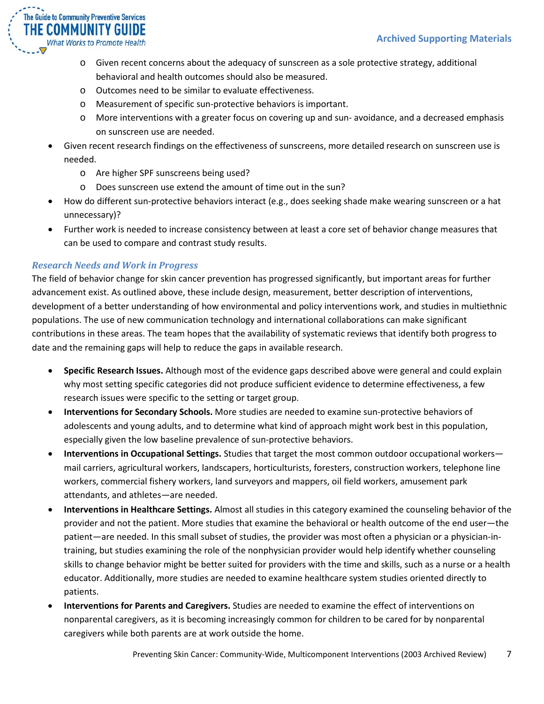

- o Given recent concerns about the adequacy of sunscreen as a sole protective strategy, additional behavioral and health outcomes should also be measured.
- o Outcomes need to be similar to evaluate effectiveness.
- o Measurement of specific sun-protective behaviors is important.
- o More interventions with a greater focus on covering up and sun- avoidance, and a decreased emphasis on sunscreen use are needed.
- Given recent research findings on the effectiveness of sunscreens, more detailed research on sunscreen use is needed.
	- o Are higher SPF sunscreens being used?
	- o Does sunscreen use extend the amount of time out in the sun?
- How do different sun-protective behaviors interact (e.g., does seeking shade make wearing sunscreen or a hat unnecessary)?
- Further work is needed to increase consistency between at least a core set of behavior change measures that can be used to compare and contrast study results.

#### *Research Needs and Work in Progress*

The field of behavior change for skin cancer prevention has progressed significantly, but important areas for further advancement exist. As outlined above, these include design, measurement, better description of interventions, development of a better understanding of how environmental and policy interventions work, and studies in multiethnic populations. The use of new communication technology and international collaborations can make significant contributions in these areas. The team hopes that the availability of systematic reviews that identify both progress to date and the remaining gaps will help to reduce the gaps in available research.

- **Specific Research Issues.** Although most of the evidence gaps described above were general and could explain why most setting specific categories did not produce sufficient evidence to determine effectiveness, a few research issues were specific to the setting or target group.
- **Interventions for Secondary Schools.** More studies are needed to examine sun-protective behaviors of adolescents and young adults, and to determine what kind of approach might work best in this population, especially given the low baseline prevalence of sun-protective behaviors.
- **Interventions in Occupational Settings.** Studies that target the most common outdoor occupational workers mail carriers, agricultural workers, landscapers, horticulturists, foresters, construction workers, telephone line workers, commercial fishery workers, land surveyors and mappers, oil field workers, amusement park attendants, and athletes—are needed.
- **Interventions in Healthcare Settings.** Almost all studies in this category examined the counseling behavior of the provider and not the patient. More studies that examine the behavioral or health outcome of the end user—the patient—are needed. In this small subset of studies, the provider was most often a physician or a physician-intraining, but studies examining the role of the nonphysician provider would help identify whether counseling skills to change behavior might be better suited for providers with the time and skills, such as a nurse or a health educator. Additionally, more studies are needed to examine healthcare system studies oriented directly to patients.
- **Interventions for Parents and Caregivers.** Studies are needed to examine the effect of interventions on nonparental caregivers, as it is becoming increasingly common for children to be cared for by nonparental caregivers while both parents are at work outside the home.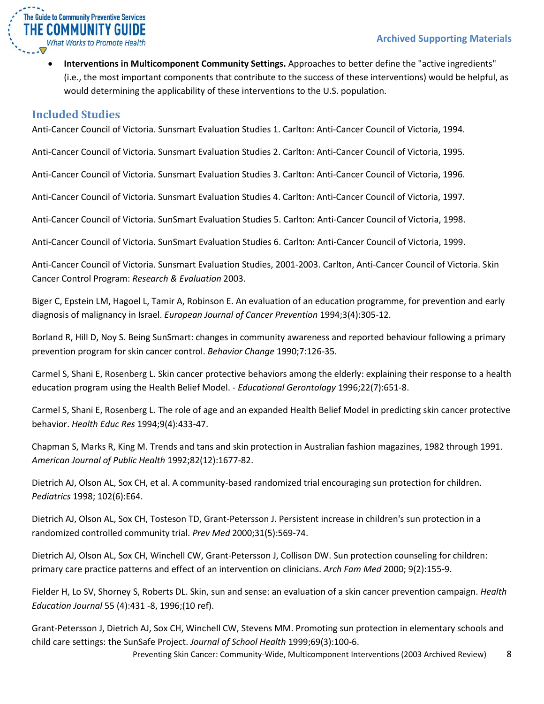

• **Interventions in Multicomponent Community Settings.** Approaches to better define the "active ingredients" (i.e., the most important components that contribute to the success of these interventions) would be helpful, as would determining the applicability of these interventions to the U.S. population.

# <span id="page-7-0"></span>**Included Studies**

Anti-Cancer Council of Victoria. Sunsmart Evaluation Studies 1. Carlton: Anti-Cancer Council of Victoria, 1994.

Anti-Cancer Council of Victoria. Sunsmart Evaluation Studies 2. Carlton: Anti-Cancer Council of Victoria, 1995.

Anti-Cancer Council of Victoria. Sunsmart Evaluation Studies 3. Carlton: Anti-Cancer Council of Victoria, 1996.

Anti-Cancer Council of Victoria. Sunsmart Evaluation Studies 4. Carlton: Anti-Cancer Council of Victoria, 1997.

Anti-Cancer Council of Victoria. SunSmart Evaluation Studies 5. Carlton: Anti-Cancer Council of Victoria, 1998.

Anti-Cancer Council of Victoria. SunSmart Evaluation Studies 6. Carlton: Anti-Cancer Council of Victoria, 1999.

Anti-Cancer Council of Victoria. Sunsmart Evaluation Studies, 2001-2003. Carlton, Anti-Cancer Council of Victoria. Skin Cancer Control Program: *Research & Evaluation* 2003.

Biger C, Epstein LM, Hagoel L, Tamir A, Robinson E. An evaluation of an education programme, for prevention and early diagnosis of malignancy in Israel. *European Journal of Cancer Prevention* 1994;3(4):305-12.

Borland R, Hill D, Noy S. Being SunSmart: changes in community awareness and reported behaviour following a primary prevention program for skin cancer control. *Behavior Change* 1990;7:126-35.

Carmel S, Shani E, Rosenberg L. Skin cancer protective behaviors among the elderly: explaining their response to a health education program using the Health Belief Model. - *Educational Gerontology* 1996;22(7):651-8.

Carmel S, Shani E, Rosenberg L. The role of age and an expanded Health Belief Model in predicting skin cancer protective behavior. *Health Educ Res* 1994;9(4):433-47.

Chapman S, Marks R, King M. Trends and tans and skin protection in Australian fashion magazines, 1982 through 1991. *American Journal of Public Health* 1992;82(12):1677-82.

Dietrich AJ, Olson AL, Sox CH, et al. A community-based randomized trial encouraging sun protection for children. *Pediatrics* 1998; 102(6):E64.

Dietrich AJ, Olson AL, Sox CH, Tosteson TD, Grant-Petersson J. Persistent increase in children's sun protection in a randomized controlled community trial. *Prev Med* 2000;31(5):569-74.

Dietrich AJ, Olson AL, Sox CH, Winchell CW, Grant-Petersson J, Collison DW. Sun protection counseling for children: primary care practice patterns and effect of an intervention on clinicians. *Arch Fam Med* 2000; 9(2):155-9.

Fielder H, Lo SV, Shorney S, Roberts DL. Skin, sun and sense: an evaluation of a skin cancer prevention campaign. *Health Education Journal* 55 (4):431 -8, 1996;(10 ref).

Preventing Skin Cancer: Community-Wide, Multicomponent Interventions (2003 Archived Review) 8 Grant-Petersson J, Dietrich AJ, Sox CH, Winchell CW, Stevens MM. Promoting sun protection in elementary schools and child care settings: the SunSafe Project. *Journal of School Health* 1999;69(3):100-6.